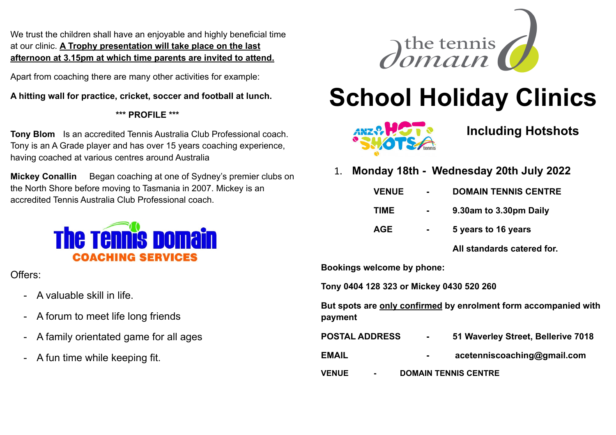We trust the children shall have an enjoyable and highly beneficial time at our clinic. **A Trophy presentation will take place on the last afternoon at 3.15pm at which time parents are invited to attend.**

Apart from coaching there are many other activities for example:

**A hitting wall for practice, cricket, soccer and football at lunch.**

# **\*\*\* PROFILE \*\*\***

**Tony Blom** Is an accredited Tennis Australia Club Professional coach. Tony is an A Grade player and has over 15 years coaching experience, having coached at various centres around Australia

**Mickey Conallin** Began coaching at one of Sydney's premier clubs on the North Shore before moving to Tasmania in 2007. Mickey is an accredited Tennis Australia Club Professional coach.



Offers:

- A valuable skill in life.
- A forum to meet life long friends
- A family orientated game for all ages
- A fun time while keeping fit.



# **School Holiday Clinics**



# **Including Hotshots**

1. **Monday 18th - Wednesday 20th July 2022**

| <b>VENUE</b> | н. | <b>DOMAIN TENNIS CENTRE</b> |
|--------------|----|-----------------------------|
| <b>TIME</b>  |    | 9.30am to 3.30pm Daily      |

- 
- **AGE - 5 years to 16 years**

**All standards catered for.**

**Bookings welcome by phone:** 

**Tony 0404 128 323 or Mickey 0430 520 260**

**But spots are only confirmed by enrolment form accompanied with payment**

| <b>POSTAL ADDRESS</b>            | $\sim$ 10 $\pm$             | 51 Waverley Street, Bellerive 7018 |  |
|----------------------------------|-----------------------------|------------------------------------|--|
| <b>EMAIL</b>                     | $\sim$                      | acetenniscoaching@gmail.com        |  |
| <b>VENUE</b><br>$\sim$ 100 $\mu$ | <b>DOMAIN TENNIS CENTRE</b> |                                    |  |